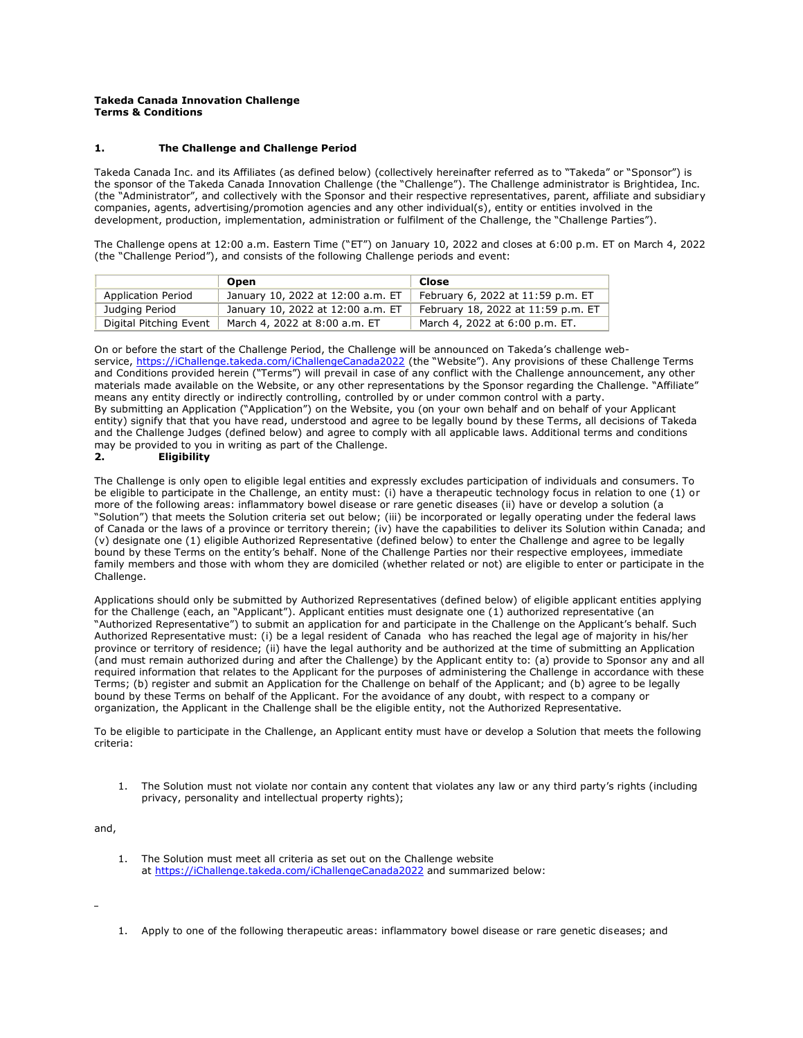#### **Takeda Canada Innovation Challenge Terms & Conditions**

#### **1. The Challenge and Challenge Period**

Takeda Canada Inc. and its Affiliates (as defined below) (collectively hereinafter referred as to "Takeda" or "Sponsor") is the sponsor of the Takeda Canada Innovation Challenge (the "Challenge"). The Challenge administrator is Brightidea, Inc. (the "Administrator", and collectively with the Sponsor and their respective representatives, parent, affiliate and subsidiary companies, agents, advertising/promotion agencies and any other individual(s), entity or entities involved in the development, production, implementation, administration or fulfilment of the Challenge, the "Challenge Parties").

The Challenge opens at 12:00 a.m. Eastern Time ("ET") on January 10, 2022 and closes at 6:00 p.m. ET on March 4, 2022 (the "Challenge Period"), and consists of the following Challenge periods and event:

|                           | Open                              | Close                              |
|---------------------------|-----------------------------------|------------------------------------|
| <b>Application Period</b> | January 10, 2022 at 12:00 a.m. ET | February 6, 2022 at 11:59 p.m. ET  |
| Judging Period            | January 10, 2022 at 12:00 a.m. ET | February 18, 2022 at 11:59 p.m. ET |
| Digital Pitching Event    | March 4, 2022 at 8:00 a.m. ET     | March 4, 2022 at 6:00 p.m. ET.     |

On or before the start of the Challenge Period, the Challenge will be announced on Takeda's challenge webservice, [https://iChallenge.takeda.com/iChallengeCanada2022](https://ichallenge.takeda.com/iChallengeCanada2022) (the "Website"). Any provisions of these Challenge Terms and Conditions provided herein ("Terms") will prevail in case of any conflict with the Challenge announcement, any other materials made available on the Website, or any other representations by the Sponsor regarding the Challenge. "Affiliate" means any entity directly or indirectly controlling, controlled by or under common control with a party. By submitting an Application ("Application") on the Website, you (on your own behalf and on behalf of your Applicant entity) signify that that you have read, understood and agree to be legally bound by these Terms, all decisions of Takeda and the Challenge Judges (defined below) and agree to comply with all applicable laws. Additional terms and conditions may be provided to you in writing as part of the Challenge.

## **2. Eligibility**

The Challenge is only open to eligible legal entities and expressly excludes participation of individuals and consumers. To be eligible to participate in the Challenge, an entity must: (i) have a therapeutic technology focus in relation to one (1) or more of the following areas: inflammatory bowel disease or rare genetic diseases (ii) have or develop a solution (a "Solution") that meets the Solution criteria set out below; (iii) be incorporated or legally operating under the federal laws of Canada or the laws of a province or territory therein; (iv) have the capabilities to deliver its Solution within Canada; and (v) designate one (1) eligible Authorized Representative (defined below) to enter the Challenge and agree to be legally bound by these Terms on the entity's behalf. None of the Challenge Parties nor their respective employees, immediate family members and those with whom they are domiciled (whether related or not) are eligible to enter or participate in the Challenge.

Applications should only be submitted by Authorized Representatives (defined below) of eligible applicant entities applying for the Challenge (each, an "Applicant"). Applicant entities must designate one (1) authorized representative (an "Authorized Representative") to submit an application for and participate in the Challenge on the Applicant's behalf. Such Authorized Representative must: (i) be a legal resident of Canada who has reached the legal age of majority in his/her province or territory of residence; (ii) have the legal authority and be authorized at the time of submitting an Application (and must remain authorized during and after the Challenge) by the Applicant entity to: (a) provide to Sponsor any and all required information that relates to the Applicant for the purposes of administering the Challenge in accordance with these Terms; (b) register and submit an Application for the Challenge on behalf of the Applicant; and (b) agree to be legally bound by these Terms on behalf of the Applicant. For the avoidance of any doubt, with respect to a company or organization, the Applicant in the Challenge shall be the eligible entity, not the Authorized Representative.

To be eligible to participate in the Challenge, an Applicant entity must have or develop a Solution that meets the following criteria:

1. The Solution must not violate nor contain any content that violates any law or any third party's rights (including privacy, personality and intellectual property rights);

and,

- 1. The Solution must meet all criteria as set out on the Challenge website at [https://iChallenge.takeda.com/iChallengeCanada2022](https://ichallenge.takeda.com/iChallengeCanada2022) and summarized below:
- 1. Apply to one of the following therapeutic areas: inflammatory bowel disease or rare genetic diseases; and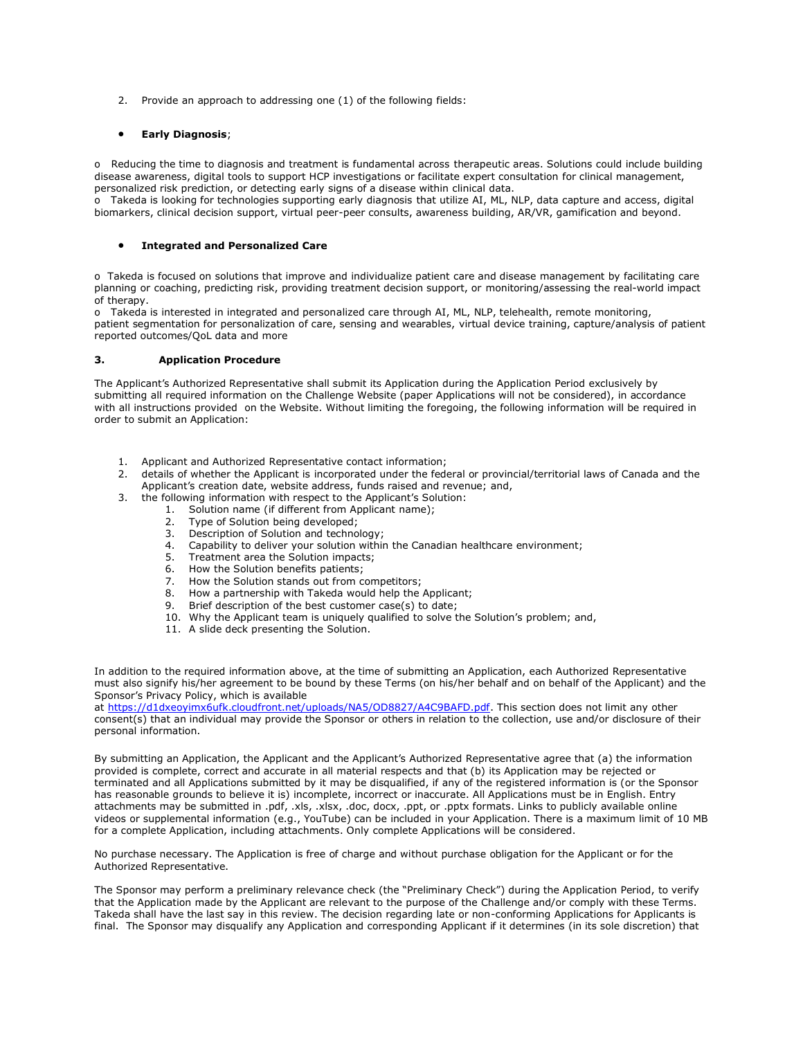2. Provide an approach to addressing one (1) of the following fields:

#### • **Early Diagnosis**;

o Reducing the time to diagnosis and treatment is fundamental across therapeutic areas. Solutions could include building disease awareness, digital tools to support HCP investigations or facilitate expert consultation for clinical management, personalized risk prediction, or detecting early signs of a disease within clinical data.

o Takeda is looking for technologies supporting early diagnosis that utilize AI, ML, NLP, data capture and access, digital biomarkers, clinical decision support, virtual peer-peer consults, awareness building, AR/VR, gamification and beyond.

#### • **Integrated and Personalized Care**

o Takeda is focused on solutions that improve and individualize patient care and disease management by facilitating care planning or coaching, predicting risk, providing treatment decision support, or monitoring/assessing the real-world impact of therapy.

o Takeda is interested in integrated and personalized care through AI, ML, NLP, telehealth, remote monitoring, patient segmentation for personalization of care, sensing and wearables, virtual device training, capture/analysis of patient reported outcomes/QoL data and more

#### **3. Application Procedure**

The Applicant's Authorized Representative shall submit its Application during the Application Period exclusively by submitting all required information on the Challenge Website (paper Applications will not be considered), in accordance with all instructions provided on the Website. Without limiting the foregoing, the following information will be required in order to submit an Application:

- 1. Applicant and Authorized Representative contact information;
- 2. details of whether the Applicant is incorporated under the federal or provincial/territorial laws of Canada and the Applicant's creation date, website address, funds raised and revenue; and,
- 3. the following information with respect to the Applicant's Solution:
	- 1. Solution name (if different from Applicant name);
		- 2. Type of Solution being developed;<br>3. Description of Solution and techno
		- 3. Description of Solution and technology;<br>4. Capability to deliver your solution within
		- Capability to deliver your solution within the Canadian healthcare environment;
		- 5. Treatment area the Solution impacts;
		- 6. How the Solution benefits patients;
		- 7. How the Solution stands out from competitors;
		- 8. How a partnership with Takeda would help the Applicant;
		- 9. Brief description of the best customer case(s) to date;
		- 10. Why the Applicant team is uniquely qualified to solve the Solution's problem; and,
		- 11. A slide deck presenting the Solution.

In addition to the required information above, at the time of submitting an Application, each Authorized Representative must also signify his/her agreement to be bound by these Terms (on his/her behalf and on behalf of the Applicant) and the Sponsor's Privacy Policy, which is available

at [https://d1dxeoyimx6ufk.cloudfront.net/uploads/NA5/OD8827/A4C9BAFD.pdf.](https://d1dxeoyimx6ufk.cloudfront.net/uploads/NA5/OD8827/A4C9BAFD.pdf) This section does not limit any other consent(s) that an individual may provide the Sponsor or others in relation to the collection, use and/or disclosure of their personal information.

By submitting an Application, the Applicant and the Applicant's Authorized Representative agree that (a) the information provided is complete, correct and accurate in all material respects and that (b) its Application may be rejected or terminated and all Applications submitted by it may be disqualified, if any of the registered information is (or the Sponsor has reasonable grounds to believe it is) incomplete, incorrect or inaccurate. All Applications must be in English. Entry attachments may be submitted in .pdf, .xls, .xlsx, .doc, docx, .ppt, or .pptx formats. Links to publicly available online videos or supplemental information (e.g., YouTube) can be included in your Application. There is a maximum limit of 10 MB for a complete Application, including attachments. Only complete Applications will be considered.

No purchase necessary. The Application is free of charge and without purchase obligation for the Applicant or for the Authorized Representative.

The Sponsor may perform a preliminary relevance check (the "Preliminary Check") during the Application Period, to verify that the Application made by the Applicant are relevant to the purpose of the Challenge and/or comply with these Terms. Takeda shall have the last say in this review. The decision regarding late or non-conforming Applications for Applicants is final. The Sponsor may disqualify any Application and corresponding Applicant if it determines (in its sole discretion) that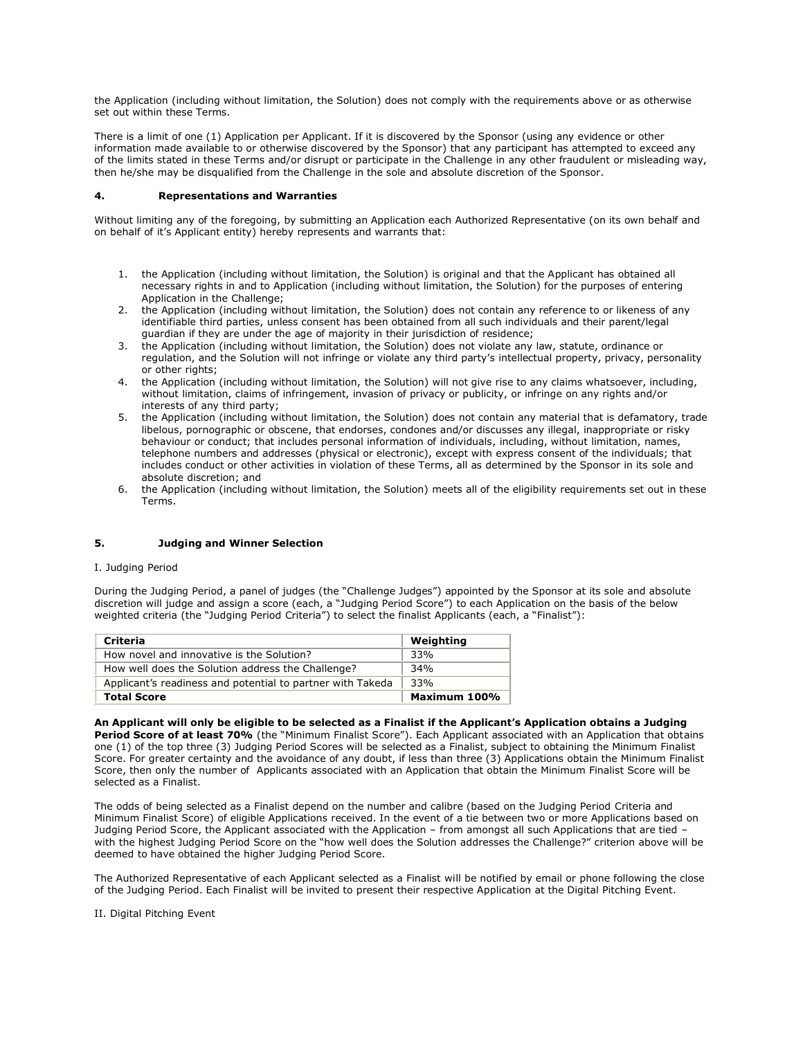the Application (including without limitation, the Solution) does not comply with the requirements above or as otherwise set out within these Terms.

There is a limit of one (1) Application per Applicant. If it is discovered by the Sponsor (using any evidence or other information made available to or otherwise discovered by the Sponsor) that any participant has attempted to exceed any of the limits stated in these Terms and/or disrupt or participate in the Challenge in any other fraudulent or misleading way, then he/she may be disqualified from the Challenge in the sole and absolute discretion of the Sponsor.

#### **4. Representations and Warranties**

Without limiting any of the foregoing, by submitting an Application each Authorized Representative (on its own behalf and on behalf of it's Applicant entity) hereby represents and warrants that:

- 1. the Application (including without limitation, the Solution) is original and that the Applicant has obtained all necessary rights in and to Application (including without limitation, the Solution) for the purposes of entering Application in the Challenge;
- 2. the Application (including without limitation, the Solution) does not contain any reference to or likeness of any identifiable third parties, unless consent has been obtained from all such individuals and their parent/legal guardian if they are under the age of majority in their jurisdiction of residence;
- 3. the Application (including without limitation, the Solution) does not violate any law, statute, ordinance or regulation, and the Solution will not infringe or violate any third party's intellectual property, privacy, personality or other rights;
- 4. the Application (including without limitation, the Solution) will not give rise to any claims whatsoever, including, without limitation, claims of infringement, invasion of privacy or publicity, or infringe on any rights and/or interests of any third party;
- 5. the Application (including without limitation, the Solution) does not contain any material that is defamatory, trade libelous, pornographic or obscene, that endorses, condones and/or discusses any illegal, inappropriate or risky behaviour or conduct; that includes personal information of individuals, including, without limitation, names, telephone numbers and addresses (physical or electronic), except with express consent of the individuals; that includes conduct or other activities in violation of these Terms, all as determined by the Sponsor in its sole and absolute discretion; and
- 6. the Application (including without limitation, the Solution) meets all of the eligibility requirements set out in these Terms.

## **5. Judging and Winner Selection**

#### I. Judging Period

During the Judging Period, a panel of judges (the "Challenge Judges") appointed by the Sponsor at its sole and absolute discretion will judge and assign a score (each, a "Judging Period Score") to each Application on the basis of the below weighted criteria (the "Judging Period Criteria") to select the finalist Applicants (each, a "Finalist"):

| <b>Criteria</b>                                            | Weighting    |
|------------------------------------------------------------|--------------|
| How novel and innovative is the Solution?                  | 33%          |
| How well does the Solution address the Challenge?          | 34%          |
| Applicant's readiness and potential to partner with Takeda | 33%          |
| <b>Total Score</b>                                         | Maximum 100% |

**An Applicant will only be eligible to be selected as a Finalist if the Applicant's Application obtains a Judging Period Score of at least 70%** (the "Minimum Finalist Score"). Each Applicant associated with an Application that obtains one (1) of the top three (3) Judging Period Scores will be selected as a Finalist, subject to obtaining the Minimum Finalist Score. For greater certainty and the avoidance of any doubt, if less than three (3) Applications obtain the Minimum Finalist Score, then only the number of Applicants associated with an Application that obtain the Minimum Finalist Score will be selected as a Finalist.

The odds of being selected as a Finalist depend on the number and calibre (based on the Judging Period Criteria and Minimum Finalist Score) of eligible Applications received. In the event of a tie between two or more Applications based on Judging Period Score, the Applicant associated with the Application – from amongst all such Applications that are tied – with the highest Judging Period Score on the "how well does the Solution addresses the Challenge?" criterion above will be deemed to have obtained the higher Judging Period Score.

The Authorized Representative of each Applicant selected as a Finalist will be notified by email or phone following the close of the Judging Period. Each Finalist will be invited to present their respective Application at the Digital Pitching Event.

II. Digital Pitching Event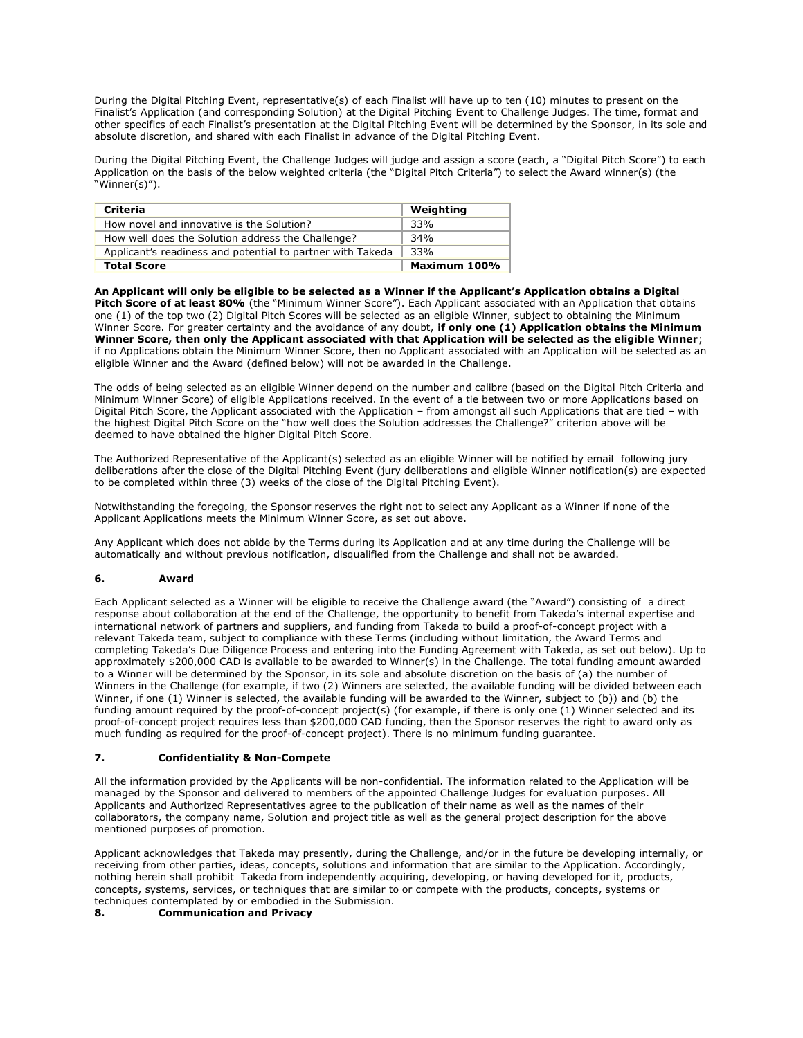During the Digital Pitching Event, representative(s) of each Finalist will have up to ten (10) minutes to present on the Finalist's Application (and corresponding Solution) at the Digital Pitching Event to Challenge Judges. The time, format and other specifics of each Finalist's presentation at the Digital Pitching Event will be determined by the Sponsor, in its sole and absolute discretion, and shared with each Finalist in advance of the Digital Pitching Event.

During the Digital Pitching Event, the Challenge Judges will judge and assign a score (each, a "Digital Pitch Score") to each Application on the basis of the below weighted criteria (the "Digital Pitch Criteria") to select the Award winner(s) (the "Winner(s)").

| <b>Criteria</b>                                            | Weighting    |
|------------------------------------------------------------|--------------|
| How novel and innovative is the Solution?                  | 33%          |
| How well does the Solution address the Challenge?          | 34%          |
| Applicant's readiness and potential to partner with Takeda | 33%          |
| <b>Total Score</b>                                         | Maximum 100% |

**An Applicant will only be eligible to be selected as a Winner if the Applicant's Application obtains a Digital Pitch Score of at least 80%** (the "Minimum Winner Score"). Each Applicant associated with an Application that obtains one (1) of the top two (2) Digital Pitch Scores will be selected as an eligible Winner, subject to obtaining the Minimum Winner Score. For greater certainty and the avoidance of any doubt, **if only one (1) Application obtains the Minimum Winner Score, then only the Applicant associated with that Application will be selected as the eligible Winner**; if no Applications obtain the Minimum Winner Score, then no Applicant associated with an Application will be selected as an eligible Winner and the Award (defined below) will not be awarded in the Challenge.

The odds of being selected as an eligible Winner depend on the number and calibre (based on the Digital Pitch Criteria and Minimum Winner Score) of eligible Applications received. In the event of a tie between two or more Applications based on Digital Pitch Score, the Applicant associated with the Application – from amongst all such Applications that are tied – with the highest Digital Pitch Score on the "how well does the Solution addresses the Challenge?" criterion above will be deemed to have obtained the higher Digital Pitch Score.

The Authorized Representative of the Applicant(s) selected as an eligible Winner will be notified by email following jury deliberations after the close of the Digital Pitching Event (jury deliberations and eligible Winner notification(s) are expected to be completed within three (3) weeks of the close of the Digital Pitching Event).

Notwithstanding the foregoing, the Sponsor reserves the right not to select any Applicant as a Winner if none of the Applicant Applications meets the Minimum Winner Score, as set out above.

Any Applicant which does not abide by the Terms during its Application and at any time during the Challenge will be automatically and without previous notification, disqualified from the Challenge and shall not be awarded.

## **6. Award**

Each Applicant selected as a Winner will be eligible to receive the Challenge award (the "Award") consisting of a direct response about collaboration at the end of the Challenge, the opportunity to benefit from Takeda's internal expertise and international network of partners and suppliers, and funding from Takeda to build a proof-of-concept project with a relevant Takeda team, subject to compliance with these Terms (including without limitation, the Award Terms and completing Takeda's Due Diligence Process and entering into the Funding Agreement with Takeda, as set out below). Up to approximately \$200,000 CAD is available to be awarded to Winner(s) in the Challenge. The total funding amount awarded to a Winner will be determined by the Sponsor, in its sole and absolute discretion on the basis of (a) the number of Winners in the Challenge (for example, if two (2) Winners are selected, the available funding will be divided between each Winner, if one (1) Winner is selected, the available funding will be awarded to the Winner, subject to (b)) and (b) the funding amount required by the proof-of-concept project(s) (for example, if there is only one (1) Winner selected and its proof-of-concept project requires less than \$200,000 CAD funding, then the Sponsor reserves the right to award only as much funding as required for the proof-of-concept project). There is no minimum funding guarantee.

## **7. Confidentiality & Non-Compete**

All the information provided by the Applicants will be non-confidential. The information related to the Application will be managed by the Sponsor and delivered to members of the appointed Challenge Judges for evaluation purposes. All Applicants and Authorized Representatives agree to the publication of their name as well as the names of their collaborators, the company name, Solution and project title as well as the general project description for the above mentioned purposes of promotion.

Applicant acknowledges that Takeda may presently, during the Challenge, and/or in the future be developing internally, or receiving from other parties, ideas, concepts, solutions and information that are similar to the Application. Accordingly, nothing herein shall prohibit Takeda from independently acquiring, developing, or having developed for it, products, concepts, systems, services, or techniques that are similar to or compete with the products, concepts, systems or techniques contemplated by or embodied in the Submission.

## **8. Communication and Privacy**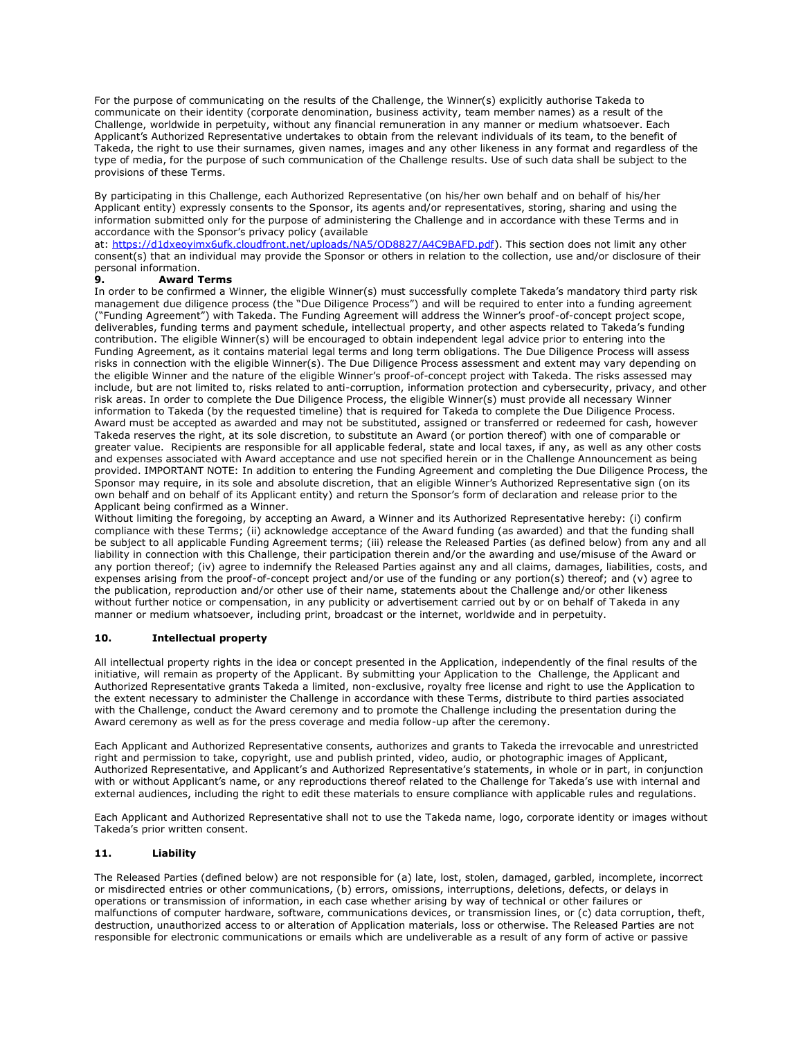For the purpose of communicating on the results of the Challenge, the Winner(s) explicitly authorise Takeda to communicate on their identity (corporate denomination, business activity, team member names) as a result of the Challenge, worldwide in perpetuity, without any financial remuneration in any manner or medium whatsoever. Each Applicant's Authorized Representative undertakes to obtain from the relevant individuals of its team, to the benefit of Takeda, the right to use their surnames, given names, images and any other likeness in any format and regardless of the type of media, for the purpose of such communication of the Challenge results. Use of such data shall be subject to the provisions of these Terms.

By participating in this Challenge, each Authorized Representative (on his/her own behalf and on behalf of his/her Applicant entity) expressly consents to the Sponsor, its agents and/or representatives, storing, sharing and using the information submitted only for the purpose of administering the Challenge and in accordance with these Terms and in accordance with the Sponsor's privacy policy (available

at: [https://d1dxeoyimx6ufk.cloudfront.net/uploads/NA5/OD8827/A4C9BAFD.pdf\)](https://d1dxeoyimx6ufk.cloudfront.net/uploads/NA5/OD8827/A4C9BAFD.pdf). This section does not limit any other consent(s) that an individual may provide the Sponsor or others in relation to the collection, use and/or disclosure of their personal information.

## **9. Award Terms**

In order to be confirmed a Winner, the eligible Winner(s) must successfully complete Takeda's mandatory third party risk management due diligence process (the "Due Diligence Process") and will be required to enter into a funding agreement ("Funding Agreement") with Takeda. The Funding Agreement will address the Winner's proof-of-concept project scope, deliverables, funding terms and payment schedule, intellectual property, and other aspects related to Takeda's funding contribution. The eligible Winner(s) will be encouraged to obtain independent legal advice prior to entering into the Funding Agreement, as it contains material legal terms and long term obligations. The Due Diligence Process will assess risks in connection with the eligible Winner(s). The Due Diligence Process assessment and extent may vary depending on the eligible Winner and the nature of the eligible Winner's proof-of-concept project with Takeda. The risks assessed may include, but are not limited to, risks related to anti-corruption, information protection and cybersecurity, privacy, and other risk areas. In order to complete the Due Diligence Process, the eligible Winner(s) must provide all necessary Winner information to Takeda (by the requested timeline) that is required for Takeda to complete the Due Diligence Process. Award must be accepted as awarded and may not be substituted, assigned or transferred or redeemed for cash, however Takeda reserves the right, at its sole discretion, to substitute an Award (or portion thereof) with one of comparable or greater value. Recipients are responsible for all applicable federal, state and local taxes, if any, as well as any other costs and expenses associated with Award acceptance and use not specified herein or in the Challenge Announcement as being provided. IMPORTANT NOTE: In addition to entering the Funding Agreement and completing the Due Diligence Process, the Sponsor may require, in its sole and absolute discretion, that an eligible Winner's Authorized Representative sign (on its own behalf and on behalf of its Applicant entity) and return the Sponsor's form of declaration and release prior to the Applicant being confirmed as a Winner.

Without limiting the foregoing, by accepting an Award, a Winner and its Authorized Representative hereby: (i) confirm compliance with these Terms; (ii) acknowledge acceptance of the Award funding (as awarded) and that the funding shall be subject to all applicable Funding Agreement terms; (iii) release the Released Parties (as defined below) from any and all liability in connection with this Challenge, their participation therein and/or the awarding and use/misuse of the Award or any portion thereof; (iv) agree to indemnify the Released Parties against any and all claims, damages, liabilities, costs, and expenses arising from the proof-of-concept project and/or use of the funding or any portion(s) thereof; and (v) agree to the publication, reproduction and/or other use of their name, statements about the Challenge and/or other likeness without further notice or compensation, in any publicity or advertisement carried out by or on behalf of Takeda in any manner or medium whatsoever, including print, broadcast or the internet, worldwide and in perpetuity.

# **10. Intellectual property**

All intellectual property rights in the idea or concept presented in the Application, independently of the final results of the initiative, will remain as property of the Applicant. By submitting your Application to the Challenge, the Applicant and Authorized Representative grants Takeda a limited, non-exclusive, royalty free license and right to use the Application to the extent necessary to administer the Challenge in accordance with these Terms, distribute to third parties associated with the Challenge, conduct the Award ceremony and to promote the Challenge including the presentation during the Award ceremony as well as for the press coverage and media follow-up after the ceremony.

Each Applicant and Authorized Representative consents, authorizes and grants to Takeda the irrevocable and unrestricted right and permission to take, copyright, use and publish printed, video, audio, or photographic images of Applicant, Authorized Representative, and Applicant's and Authorized Representative's statements, in whole or in part, in conjunction with or without Applicant's name, or any reproductions thereof related to the Challenge for Takeda's use with internal and external audiences, including the right to edit these materials to ensure compliance with applicable rules and regulations.

Each Applicant and Authorized Representative shall not to use the Takeda name, logo, corporate identity or images without Takeda's prior written consent.

## **11. Liability**

The Released Parties (defined below) are not responsible for (a) late, lost, stolen, damaged, garbled, incomplete, incorrect or misdirected entries or other communications, (b) errors, omissions, interruptions, deletions, defects, or delays in operations or transmission of information, in each case whether arising by way of technical or other failures or malfunctions of computer hardware, software, communications devices, or transmission lines, or (c) data corruption, theft, destruction, unauthorized access to or alteration of Application materials, loss or otherwise. The Released Parties are not responsible for electronic communications or emails which are undeliverable as a result of any form of active or passive